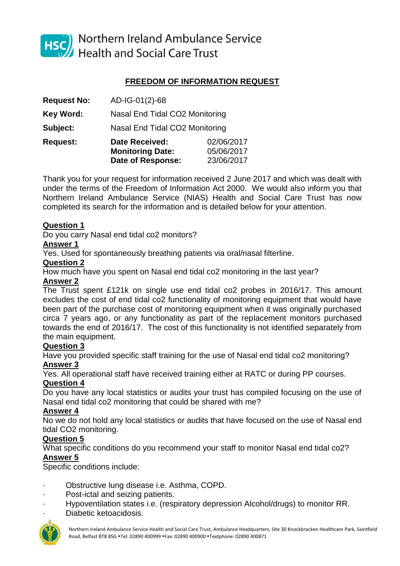

HSC Northern Ireland Ambulance Service<br>Health and Social Care Trust

# **FREEDOM OF INFORMATION REQUEST**

| <b>Request No:</b> | AD-IG-01(2)-68                                   |                          |
|--------------------|--------------------------------------------------|--------------------------|
| <b>Key Word:</b>   | Nasal End Tidal CO2 Monitoring                   |                          |
| Subject:           | Nasal End Tidal CO2 Monitoring                   |                          |
| <b>Request:</b>    | <b>Date Received:</b><br><b>Monitoring Date:</b> | 02/06/2017<br>05/06/2017 |
|                    | Date of Response:                                | 23/06/2017               |

Thank you for your request for information received 2 June 2017 and which was dealt with under the terms of the Freedom of Information Act 2000. We would also inform you that Northern Ireland Ambulance Service (NIAS) Health and Social Care Trust has now completed its search for the information and is detailed below for your attention.

#### **Question 1**

Do you carry Nasal end tidal co2 monitors?

#### **Answer 1**

Yes. Used for spontaneously breathing patients via oral/nasal filterline.

### **Question 2**

How much have you spent on Nasal end tidal co2 monitoring in the last year?

### **Answer 2**

The Trust spent £121k on single use end tidal co2 probes in 2016/17. This amount excludes the cost of end tidal co2 functionality of monitoring equipment that would have been part of the purchase cost of monitoring equipment when it was originally purchased circa 7 years ago, or any functionality as part of the replacement monitors purchased towards the end of 2016/17. The cost of this functionality is not identified separately from the main equipment.

# **Question 3**

Have you provided specific staff training for the use of Nasal end tidal co2 monitoring? **Answer 3**

Yes. All operational staff have received training either at RATC or during PP courses.

# **Question 4**

Do you have any local statistics or audits your trust has compiled focusing on the use of Nasal end tidal co2 monitoring that could be shared with me?

# **Answer 4**

No we do not hold any local statistics or audits that have focused on the use of Nasal end tidal CO2 monitoring.

# **Question 5**

What specific conditions do you recommend your staff to monitor Nasal end tidal co2? **Answer 5**

Specific conditions include:

- · Obstructive lung disease i.e. Asthma, COPD.
- Post-ictal and seizing patients.
- · Hypoventilation states i.e. (respiratory depression Alcohol/drugs) to monitor RR.
- Diabetic ketoacidosis.